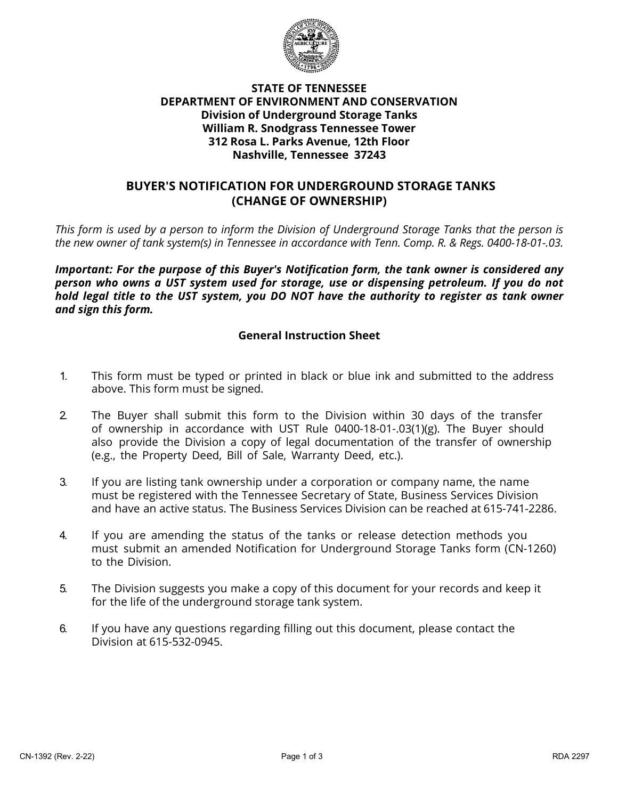

### **STATE OF TENNESSEE DEPARTMENT OF ENVIRONMENT AND CONSERVATION Division of Underground Storage Tanks William R. Snodgrass Tennessee Tower 312 Rosa L. Parks Avenue, 12th Floor Nashville, Tennessee 37243**

## **BUYER'S NOTIFICATION FOR UNDERGROUND STORAGE TANKS (CHANGE OF OWNERSHIP)**

*This form is used by a person to inform the Division of Underground Storage Tanks that the person is the new owner of tank system(s) in Tennessee in accordance with Tenn. Comp. R. & Regs. 0400-18-01-.03.*

*Important: For the purpose of this Buyer's Notification form, the tank owner is considered any person who owns a UST system used for storage, use or dispensing petroleum. If you do not hold legal title to the UST system, you DO NOT have the authority to register as tank owner and sign this form.* 

### **General Instruction Sheet**

- 1. This form must be typed or printed in black or blue ink and submitted to the address above. This form must be signed.
- 2. The Buyer shall submit this form to the Division within 30 days of the transfer of ownership in accordance with UST Rule 0400-18-01-.03(1)(g). The Buyer should also provide the Division a copy of legal documentation of the transfer of ownership (e.g., the Property Deed, Bill of Sale, Warranty Deed, etc.).
- 3. If you are listing tank ownership under a corporation or company name, the name must be registered with the Tennessee Secretary of State, Business Services Division and have an active status. The Business Services Division can be reached at 615-741-2286.
- 4. If you are amending the status of the tanks or release detection methods you must submit an amended Notification for Underground Storage Tanks form (CN-1260) to the Division.
- 5. The Division suggests you make a copy of this document for your records and keep it for the life of the underground storage tank system.
- 6. If you have any questions regarding filling out this document, please contact the Division at 615-532-0945.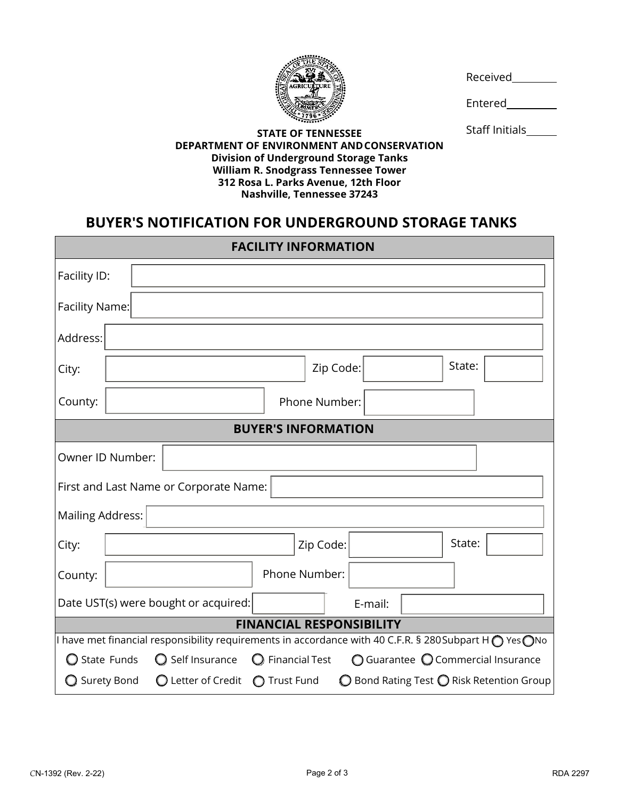

Received

Entered

Staff Initials\_\_\_\_\_\_

#### **STATE OF TENNESSEE DEPARTMENT OF ENVIRONMENT ANDCONSERVATION Division of Underground Storage Tanks William R. Snodgrass Tennessee Tower 312 Rosa L. Parks Avenue, 12th Floor Nashville, Tennessee 37243**

# **BUYER'S NOTIFICATION FOR UNDERGROUND STORAGE TANKS**

| <b>FACILITY INFORMATION</b>                                                                                             |             |                                                   |                       |           |         |  |        |                                                             |
|-------------------------------------------------------------------------------------------------------------------------|-------------|---------------------------------------------------|-----------------------|-----------|---------|--|--------|-------------------------------------------------------------|
| Facility ID:                                                                                                            |             |                                                   |                       |           |         |  |        |                                                             |
| Facility Name:                                                                                                          |             |                                                   |                       |           |         |  |        |                                                             |
| Address:                                                                                                                |             |                                                   |                       |           |         |  |        |                                                             |
| City:                                                                                                                   |             |                                                   |                       | Zip Code: |         |  | State: |                                                             |
| County:                                                                                                                 |             |                                                   | Phone Number:         |           |         |  |        |                                                             |
| <b>BUYER'S INFORMATION</b>                                                                                              |             |                                                   |                       |           |         |  |        |                                                             |
| Owner ID Number:                                                                                                        |             |                                                   |                       |           |         |  |        |                                                             |
| First and Last Name or Corporate Name:                                                                                  |             |                                                   |                       |           |         |  |        |                                                             |
| <b>Mailing Address:</b>                                                                                                 |             |                                                   |                       |           |         |  |        |                                                             |
| City:                                                                                                                   |             |                                                   |                       | Zip Code: |         |  | State: |                                                             |
| County:                                                                                                                 |             |                                                   | Phone Number:         |           |         |  |        |                                                             |
| Date UST(s) were bought or acquired:                                                                                    |             |                                                   |                       |           | E-mail: |  |        |                                                             |
| <b>FINANCIAL RESPONSIBILITY</b>                                                                                         |             |                                                   |                       |           |         |  |        |                                                             |
| I have met financial responsibility requirements in accordance with 40 C.F.R. § 280Subpart H $\bigcap$ Yes $\bigcap$ No |             |                                                   |                       |           |         |  |        |                                                             |
|                                                                                                                         | State Funds | Self Insurance                                    | <b>Financial Test</b> |           |         |  |        | $\bigcirc$ Guarantee $\bigcirc$ Commercial Insurance        |
| ◯ Surety Bond                                                                                                           |             | $\bigcirc$ Letter of Credit $\bigcirc$ Trust Fund |                       |           |         |  |        | $\bigcirc$ Bond Rating Test $\bigcirc$ Risk Retention Group |